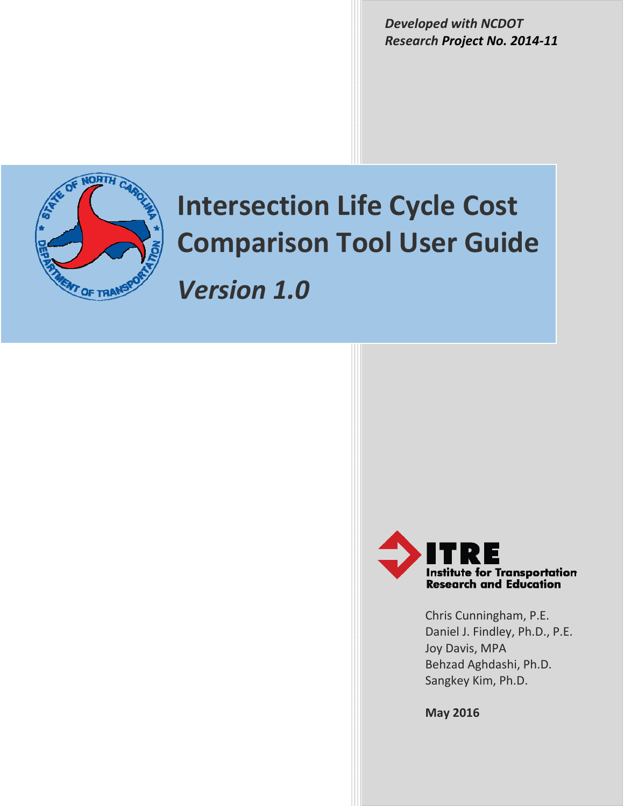*Developed with NCDOT Research Project No. 2014‐11*



# **Intersection Life Cycle Cost Comparison Tool User Guide**

*Version 1.0*



Chris Cunningham, P.E. Daniel J. Findley, Ph.D., P.E. Joy Davis, MPA Behzad Aghdashi, Ph.D. Sangkey Kim, Ph.D.

**May 2016**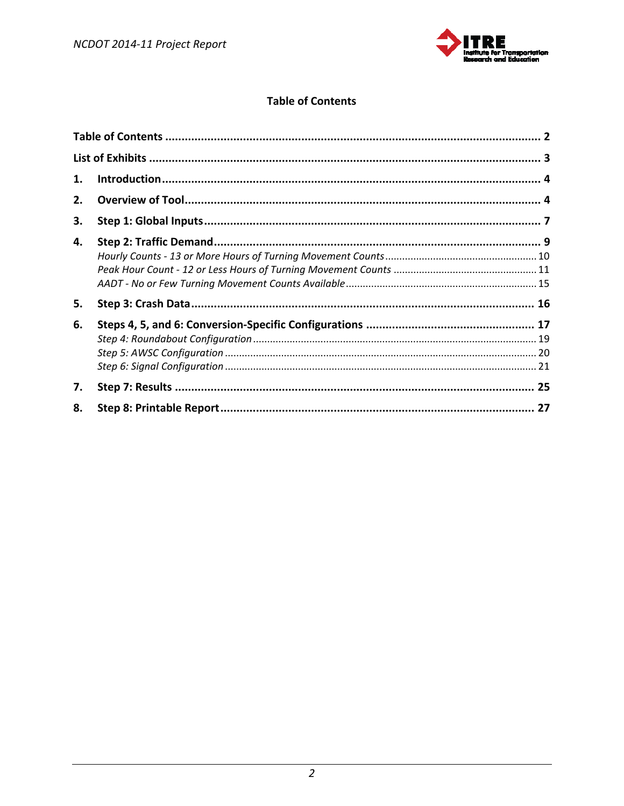

# **Table of Contents**

| 1. |  |
|----|--|
| 2. |  |
| 3. |  |
| 4. |  |
| 5. |  |
| 6. |  |
| 7. |  |
| 8. |  |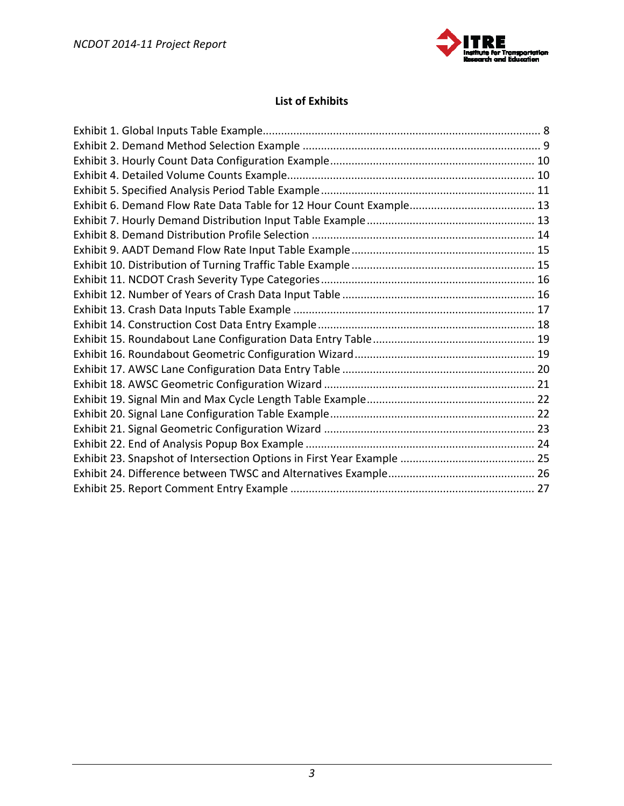

# **List of Exhibits**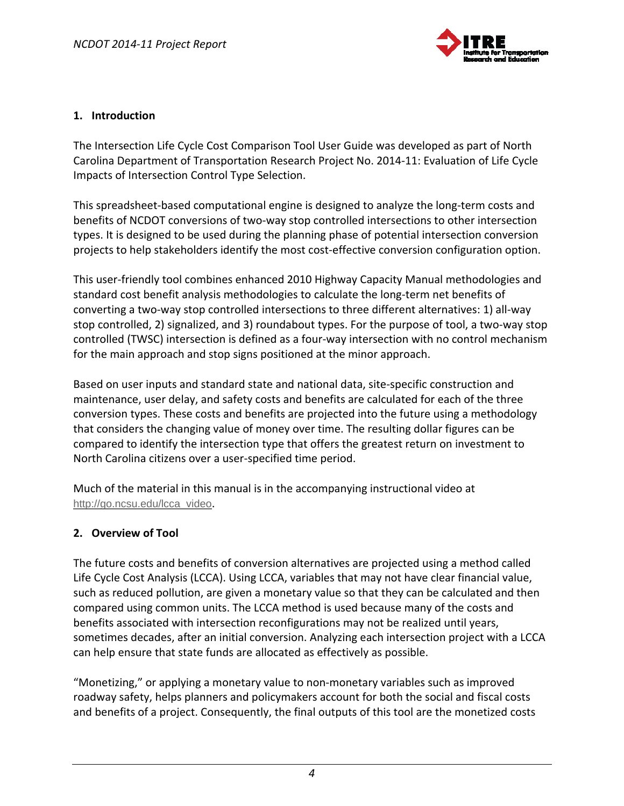

#### **1. Introduction**

The Intersection Life Cycle Cost Comparison Tool User Guide was developed as part of North Carolina Department of Transportation Research Project No. 2014‐11: Evaluation of Life Cycle Impacts of Intersection Control Type Selection.

This spreadsheet-based computational engine is designed to analyze the long-term costs and benefits of NCDOT conversions of two-way stop controlled intersections to other intersection types. It is designed to be used during the planning phase of potential intersection conversion projects to help stakeholders identify the most cost-effective conversion configuration option.

This user‐friendly tool combines enhanced 2010 Highway Capacity Manual methodologies and standard cost benefit analysis methodologies to calculate the long-term net benefits of converting a two‐way stop controlled intersections to three different alternatives: 1) all‐way stop controlled, 2) signalized, and 3) roundabout types. For the purpose of tool, a two-way stop controlled (TWSC) intersection is defined as a four‐way intersection with no control mechanism for the main approach and stop signs positioned at the minor approach.

Based on user inputs and standard state and national data, site‐specific construction and maintenance, user delay, and safety costs and benefits are calculated for each of the three conversion types. These costs and benefits are projected into the future using a methodology that considers the changing value of money over time. The resulting dollar figures can be compared to identify the intersection type that offers the greatest return on investment to North Carolina citizens over a user‐specified time period.

Much of the material in this manual is in the accompanying instructional video at http://go.ncsu.edu/lcca\_video.

#### **2. Overview of Tool**

The future costs and benefits of conversion alternatives are projected using a method called Life Cycle Cost Analysis (LCCA). Using LCCA, variables that may not have clear financial value, such as reduced pollution, are given a monetary value so that they can be calculated and then compared using common units. The LCCA method is used because many of the costs and benefits associated with intersection reconfigurations may not be realized until years, sometimes decades, after an initial conversion. Analyzing each intersection project with a LCCA can help ensure that state funds are allocated as effectively as possible.

"Monetizing," or applying a monetary value to non‐monetary variables such as improved roadway safety, helps planners and policymakers account for both the social and fiscal costs and benefits of a project. Consequently, the final outputs of this tool are the monetized costs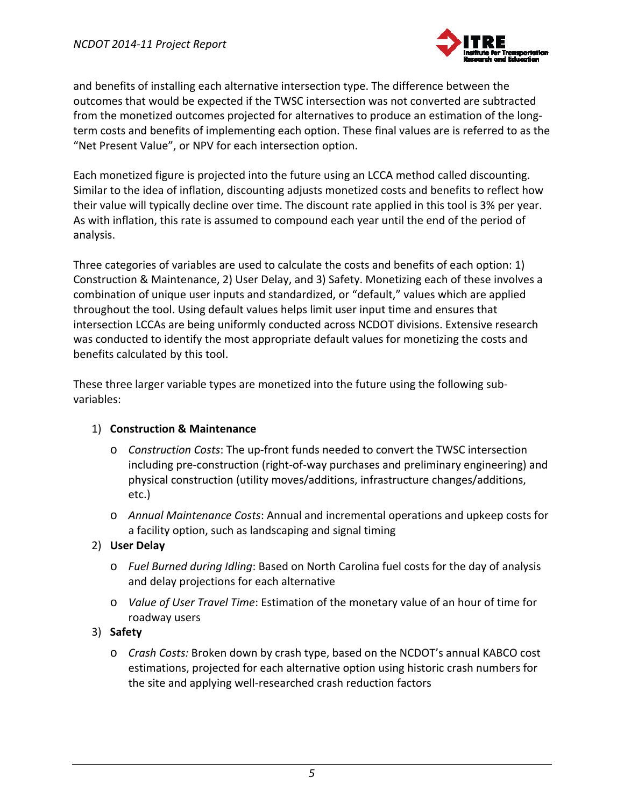

and benefits of installing each alternative intersection type. The difference between the outcomes that would be expected if the TWSC intersection was not converted are subtracted from the monetized outcomes projected for alternatives to produce an estimation of the long‐ term costs and benefits of implementing each option. These final values are is referred to as the "Net Present Value", or NPV for each intersection option.

Each monetized figure is projected into the future using an LCCA method called discounting. Similar to the idea of inflation, discounting adjusts monetized costs and benefits to reflect how their value will typically decline over time. The discount rate applied in this tool is 3% per year. As with inflation, this rate is assumed to compound each year until the end of the period of analysis.

Three categories of variables are used to calculate the costs and benefits of each option: 1) Construction & Maintenance, 2) User Delay, and 3) Safety. Monetizing each of these involves a combination of unique user inputs and standardized, or "default," values which are applied throughout the tool. Using default values helps limit user input time and ensures that intersection LCCAs are being uniformly conducted across NCDOT divisions. Extensive research was conducted to identify the most appropriate default values for monetizing the costs and benefits calculated by this tool.

These three larger variable types are monetized into the future using the following sub‐ variables:

# 1) **Construction & Maintenance**

- o *Construction Costs*: The up‐front funds needed to convert the TWSC intersection including pre‐construction (right‐of‐way purchases and preliminary engineering) and physical construction (utility moves/additions, infrastructure changes/additions, etc.)
- o *Annual Maintenance Costs*: Annual and incremental operations and upkeep costs for a facility option, such as landscaping and signal timing

# 2) **User Delay**

- o *Fuel Burned during Idling*: Based on North Carolina fuel costs for the day of analysis and delay projections for each alternative
- o *Value of User Travel Time*: Estimation of the monetary value of an hour of time for roadway users

#### 3) **Safety**

o *Crash Costs:* Broken down by crash type, based on the NCDOT's annual KABCO cost estimations, projected for each alternative option using historic crash numbers for the site and applying well‐researched crash reduction factors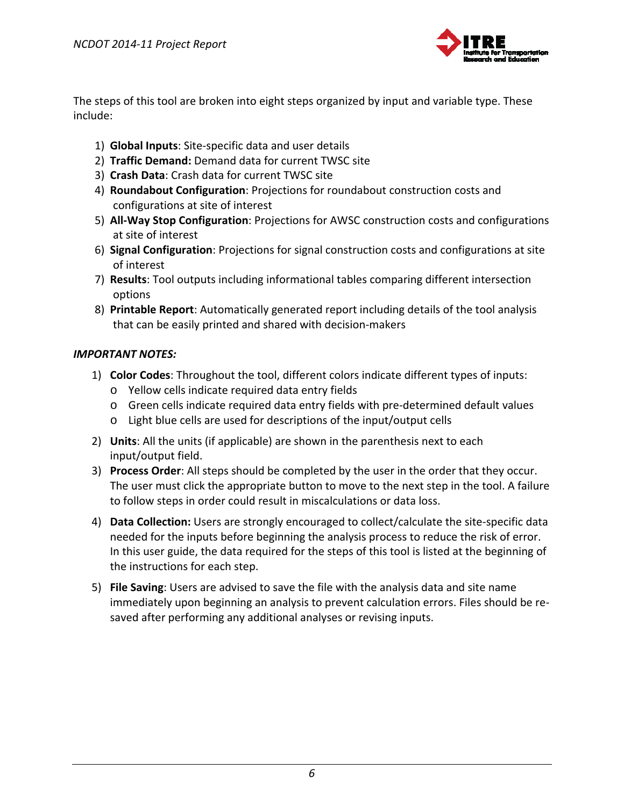

The steps of this tool are broken into eight steps organized by input and variable type. These include:

- 1) **Global Inputs**: Site‐specific data and user details
- 2) **Traffic Demand:** Demand data for current TWSC site
- 3) **Crash Data**: Crash data for current TWSC site
- 4) **Roundabout Configuration**: Projections for roundabout construction costs and configurations at site of interest
- 5) **All‐Way Stop Configuration**: Projections for AWSC construction costs and configurations at site of interest
- 6) **Signal Configuration**: Projections for signal construction costs and configurations at site of interest
- 7) **Results**: Tool outputs including informational tables comparing different intersection options
- 8) **Printable Report**: Automatically generated report including details of the tool analysis that can be easily printed and shared with decision‐makers

#### *IMPORTANT NOTES:*

- 1) **Color Codes**: Throughout the tool, different colors indicate different types of inputs:
	- o Yellow cells indicate required data entry fields
	- o Green cells indicate required data entry fields with pre‐determined default values
	- o Light blue cells are used for descriptions of the input/output cells
- 2) **Units**: All the units (if applicable) are shown in the parenthesis next to each input/output field.
- 3) **Process Order**: All steps should be completed by the user in the order that they occur. The user must click the appropriate button to move to the next step in the tool. A failure to follow steps in order could result in miscalculations or data loss.
- 4) **Data Collection:** Users are strongly encouraged to collect/calculate the site‐specific data needed for the inputs before beginning the analysis process to reduce the risk of error. In this user guide, the data required for the steps of this tool is listed at the beginning of the instructions for each step.
- 5) **File Saving**: Users are advised to save the file with the analysis data and site name immediately upon beginning an analysis to prevent calculation errors. Files should be re‐ saved after performing any additional analyses or revising inputs.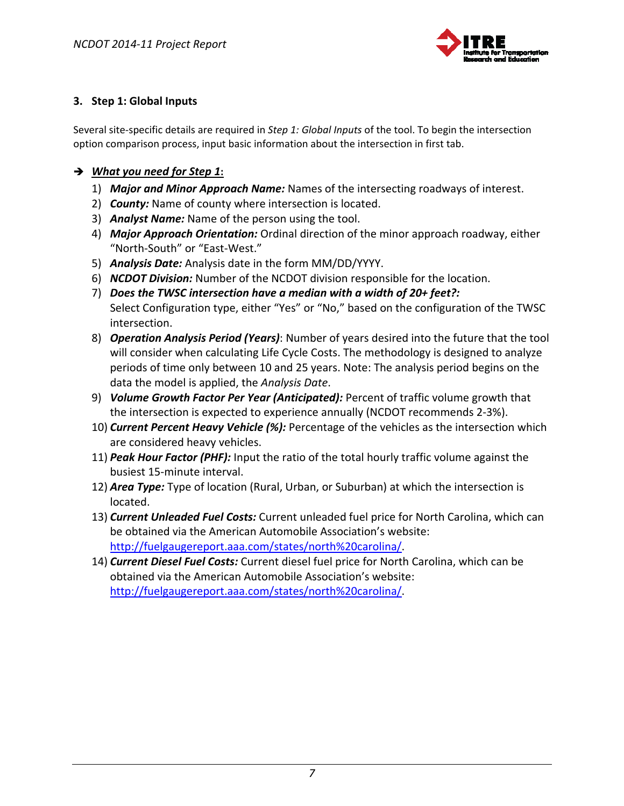

# **3. Step 1: Global Inputs**

Several site‐specific details are required in *Step 1: Global Inputs* of the tool. To begin the intersection option comparison process, input basic information about the intersection in first tab.

#### *What you need for Step 1***:**

- 1) *Major and Minor Approach Name:* Names of the intersecting roadways of interest.
- 2) *County:* Name of county where intersection is located.
- 3) *Analyst Name:* Name of the person using the tool.
- 4) *Major Approach Orientation:* Ordinal direction of the minor approach roadway, either "North‐South" or "East‐West."
- 5) *Analysis Date:* Analysis date in the form MM/DD/YYYY.
- 6) *NCDOT Division:* Number of the NCDOT division responsible for the location.
- 7) *Does the TWSC intersection have a median with a width of 20+ feet?:* Select Configuration type, either "Yes" or "No," based on the configuration of the TWSC intersection.
- 8) *Operation Analysis Period (Years)*: Number of years desired into the future that the tool will consider when calculating Life Cycle Costs. The methodology is designed to analyze periods of time only between 10 and 25 years. Note: The analysis period begins on the data the model is applied, the *Analysis Date*.
- 9) *Volume Growth Factor Per Year (Anticipated):* Percent of traffic volume growth that the intersection is expected to experience annually (NCDOT recommends 2‐3%).
- 10) *Current Percent Heavy Vehicle (%):* Percentage of the vehicles as the intersection which are considered heavy vehicles.
- 11) *Peak Hour Factor (PHF):* Input the ratio of the total hourly traffic volume against the busiest 15‐minute interval.
- 12) *Area Type:* Type of location (Rural, Urban, or Suburban) at which the intersection is located.
- 13) *Current Unleaded Fuel Costs:* Current unleaded fuel price for North Carolina, which can be obtained via the American Automobile Association's website: http://fuelgaugereport.aaa.com/states/north%20carolina/.
- 14) *Current Diesel Fuel Costs:* Current diesel fuel price for North Carolina, which can be obtained via the American Automobile Association's website: http://fuelgaugereport.aaa.com/states/north%20carolina/.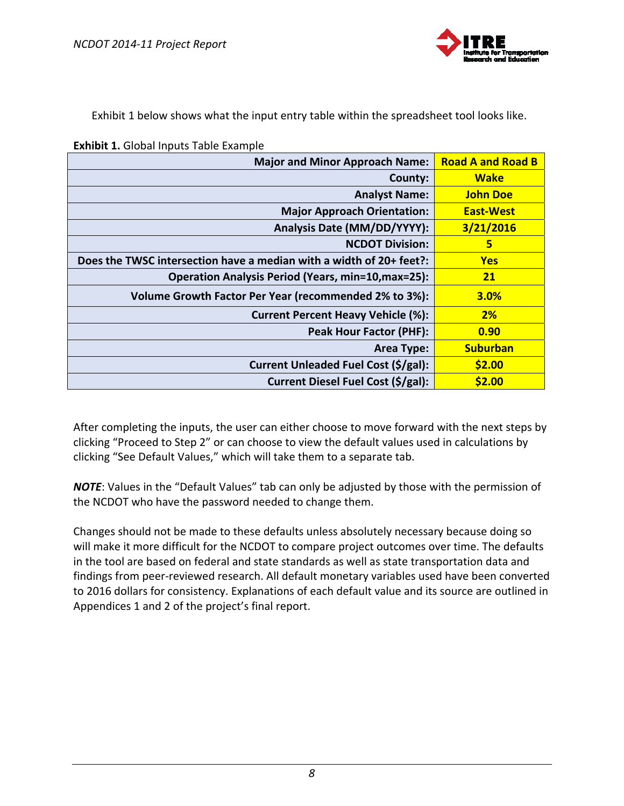

Exhibit 1 below shows what the input entry table within the spreadsheet tool looks like.

| <b>Exhibit 1.</b> Global Inputs Table Example |  |  |  |  |
|-----------------------------------------------|--|--|--|--|
|-----------------------------------------------|--|--|--|--|

| <b>Major and Minor Approach Name:</b>                               | <b>Road A and Road B</b> |
|---------------------------------------------------------------------|--------------------------|
| County:                                                             | <b>Wake</b>              |
| <b>Analyst Name:</b>                                                | <b>John Doe</b>          |
| <b>Major Approach Orientation:</b>                                  | <b>East-West</b>         |
| Analysis Date (MM/DD/YYYY):                                         | 3/21/2016                |
| <b>NCDOT Division:</b>                                              | 5                        |
| Does the TWSC intersection have a median with a width of 20+ feet?: | <b>Yes</b>               |
| <b>Operation Analysis Period (Years, min=10, max=25):</b>           | <b>21</b>                |
| Volume Growth Factor Per Year (recommended 2% to 3%):               | <b>3.0%</b>              |
| <b>Current Percent Heavy Vehicle (%):</b>                           | 2%                       |
| <b>Peak Hour Factor (PHF):</b>                                      | 0.90                     |
| <b>Area Type:</b>                                                   | <b>Suburban</b>          |
| Current Unleaded Fuel Cost (\$/gal):                                | \$2.00                   |
| Current Diesel Fuel Cost (\$/gal):                                  | \$2.00                   |

After completing the inputs, the user can either choose to move forward with the next steps by clicking "Proceed to Step 2" or can choose to view the default values used in calculations by clicking "See Default Values," which will take them to a separate tab.

*NOTE*: Values in the "Default Values" tab can only be adjusted by those with the permission of the NCDOT who have the password needed to change them.

Changes should not be made to these defaults unless absolutely necessary because doing so will make it more difficult for the NCDOT to compare project outcomes over time. The defaults in the tool are based on federal and state standards as well as state transportation data and findings from peer‐reviewed research. All default monetary variables used have been converted to 2016 dollars for consistency. Explanations of each default value and its source are outlined in Appendices 1 and 2 of the project's final report.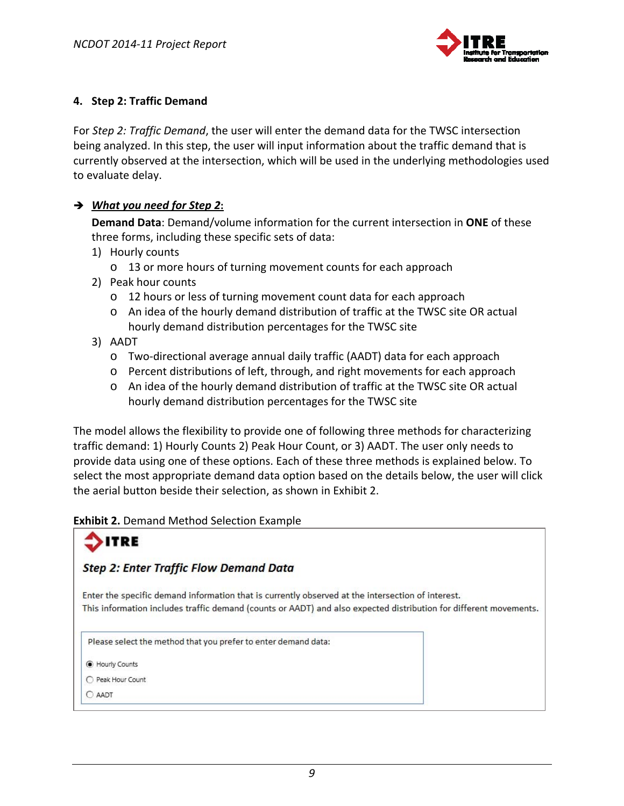

#### **4. Step 2: Traffic Demand**

For *Step 2: Traffic Demand*, the user will enter the demand data for the TWSC intersection being analyzed. In this step, the user will input information about the traffic demand that is currently observed at the intersection, which will be used in the underlying methodologies used to evaluate delay.

### *What you need for Step 2***:**

**Demand Data**: Demand/volume information for the current intersection in **ONE** of these three forms, including these specific sets of data:

- 1) Hourly counts
	- o 13 or more hours of turning movement counts for each approach
- 2) Peak hour counts
	- o 12 hours or less of turning movement count data for each approach
	- o An idea of the hourly demand distribution of traffic at the TWSC site OR actual hourly demand distribution percentages for the TWSC site
- 3) AADT
	- o Two‐directional average annual daily traffic (AADT) data for each approach
	- o Percent distributions of left, through, and right movements for each approach
	- o An idea of the hourly demand distribution of traffic at the TWSC site OR actual hourly demand distribution percentages for the TWSC site

The model allows the flexibility to provide one of following three methods for characterizing traffic demand: 1) Hourly Counts 2) Peak Hour Count, or 3) AADT. The user only needs to provide data using one of these options. Each of these three methods is explained below. To select the most appropriate demand data option based on the details below, the user will click the aerial button beside their selection, as shown in Exhibit 2.

#### **Exhibit 2.** Demand Method Selection Example

# **ITRE**

# **Step 2: Enter Traffic Flow Demand Data**

Enter the specific demand information that is currently observed at the intersection of interest. This information includes traffic demand (counts or AADT) and also expected distribution for different movements.

Please select the method that you prefer to enter demand data:

**C** Hourly Counts

O Peak Hour Count

C AADT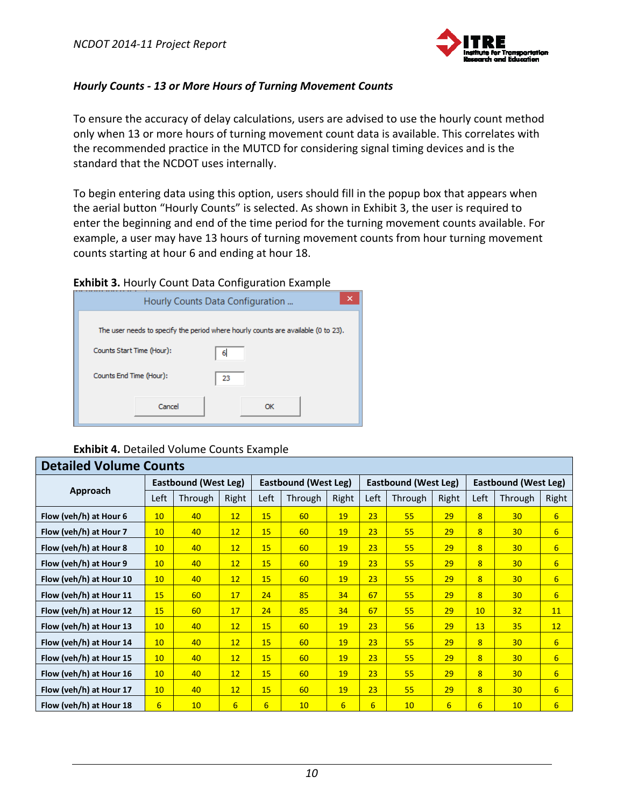

#### *Hourly Counts ‐ 13 or More Hours of Turning Movement Counts*

To ensure the accuracy of delay calculations, users are advised to use the hourly count method only when 13 or more hours of turning movement count data is available. This correlates with the recommended practice in the MUTCD for considering signal timing devices and is the standard that the NCDOT uses internally.

To begin entering data using this option, users should fill in the popup box that appears when the aerial button "Hourly Counts" is selected. As shown in Exhibit 3, the user is required to enter the beginning and end of the time period for the turning movement counts available. For example, a user may have 13 hours of turning movement counts from hour turning movement counts starting at hour 6 and ending at hour 18.

#### **Exhibit 3.** Hourly Count Data Configuration Example



#### **Exhibit 4.** Detailed Volume Counts Example

| <b>Detailed Volume Counts</b> |                             |         |                  |                             |         |                             |      |                             |       |      |                 |                  |
|-------------------------------|-----------------------------|---------|------------------|-----------------------------|---------|-----------------------------|------|-----------------------------|-------|------|-----------------|------------------|
|                               | <b>Eastbound (West Leg)</b> |         |                  | <b>Eastbound (West Leg)</b> |         | <b>Eastbound (West Leg)</b> |      | <b>Eastbound (West Leg)</b> |       |      |                 |                  |
| Approach                      | Left                        | Through | Right            | Left                        | Through | Right                       | Left | Through                     | Right | Left | Through         | Right            |
| Flow (veh/h) at Hour 6        | 10                          | 40      | 12               | 15                          | 60      | 19                          | 23   | 55                          | 29    | 8    | 30 <sup>°</sup> | $6 \overline{6}$ |
| Flow (veh/h) at Hour 7        | 10                          | 40      | 12               | 15                          | 60      | 19                          | 23   | 55                          | 29    | 8    | 30 <sup>°</sup> | 6                |
| Flow (veh/h) at Hour 8        | 10                          | 40      | 12               | 15                          | 60      | 19                          | 23   | 55                          | 29    | 8    | 30 <sup>°</sup> | $6\overline{6}$  |
| Flow (veh/h) at Hour 9        | 10                          | 40      | 12               | 15                          | 60      | 19                          | 23   | 55                          | 29    | 8    | 30 <sup>°</sup> | 6                |
| Flow (veh/h) at Hour 10       | 10                          | 40      | 12               | 15                          | 60      | 19                          | 23   | 55                          | 29    | 8    | 30 <sup>°</sup> | 6                |
| Flow (veh/h) at Hour 11       | 15                          | 60      | 17               | 24                          | 85      | 34                          | 67   | 55                          | 29    | 8    | 30 <sup>°</sup> | 6                |
| Flow (veh/h) at Hour 12       | 15                          | 60      | 17               | 24                          | 85      | 34                          | 67   | 55                          | 29    | 10   | 32              | 11               |
| Flow (veh/h) at Hour 13       | 10                          | 40      | 12               | 15                          | 60      | 19                          | 23   | 56                          | 29    | 13   | 35              | 12               |
| Flow (veh/h) at Hour 14       | 10                          | 40      | 12               | 15                          | 60      | 19                          | 23   | 55                          | 29    | 8    | 30 <sup>°</sup> | $6 \overline{6}$ |
| Flow (veh/h) at Hour 15       | 10                          | 40      | 12               | 15                          | 60      | 19                          | 23   | 55                          | 29    | 8    | 30 <sup>°</sup> | 6                |
| Flow (veh/h) at Hour 16       | 10                          | 40      | 12               | 15                          | 60      | 19                          | 23   | 55                          | 29    | 8    | 30 <sup>°</sup> | $6\overline{6}$  |
| Flow (veh/h) at Hour 17       | 10                          | 40      | 12               | 15                          | 60      | 19                          | 23   | 55                          | 29    | 8    | 30 <sup>°</sup> | $6\overline{6}$  |
| Flow (veh/h) at Hour 18       | 6                           | 10      | $6 \overline{6}$ | $6 \overline{6}$            | 10      | $6 \overline{6}$            | 6    | 10 <sup>°</sup>             | 6     | 6    | 10 <sup>°</sup> | 6                |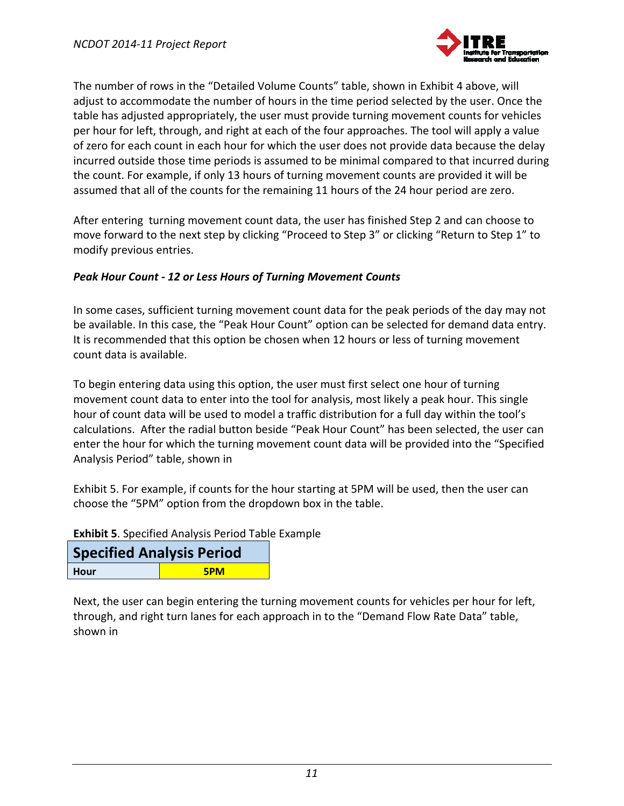

The number of rows in the "Detailed Volume Counts" table, shown in Exhibit 4 above, will adjust to accommodate the number of hours in the time period selected by the user. Once the table has adjusted appropriately, the user must provide turning movement counts for vehicles per hour for left, through, and right at each of the four approaches. The tool will apply a value of zero for each count in each hour for which the user does not provide data because the delay incurred outside those time periods is assumed to be minimal compared to that incurred during the count. For example, if only 13 hours of turning movement counts are provided it will be assumed that all of the counts for the remaining 11 hours of the 24 hour period are zero.

After entering turning movement count data, the user has finished Step 2 and can choose to move forward to the next step by clicking "Proceed to Step 3" or clicking "Return to Step 1" to modify previous entries.

#### *Peak Hour Count ‐ 12 or Less Hours of Turning Movement Counts*

In some cases, sufficient turning movement count data for the peak periods of the day may not be available. In this case, the "Peak Hour Count" option can be selected for demand data entry. It is recommended that this option be chosen when 12 hours or less of turning movement count data is available.

To begin entering data using this option, the user must first select one hour of turning movement count data to enter into the tool for analysis, most likely a peak hour. This single hour of count data will be used to model a traffic distribution for a full day within the tool's calculations. After the radial button beside "Peak Hour Count" has been selected, the user can enter the hour for which the turning movement count data will be provided into the "Specified Analysis Period" table, shown in

Exhibit 5. For example, if counts for the hour starting at 5PM will be used, then the user can choose the "5PM" option from the dropdown box in the table.

**Exhibit 5**. Specified Analysis Period Table Example

| <b>Specified Analysis Period</b> |            |
|----------------------------------|------------|
| Hour                             | <b>5PM</b> |

Next, the user can begin entering the turning movement counts for vehicles per hour for left, through, and right turn lanes for each approach in to the "Demand Flow Rate Data" table, shown in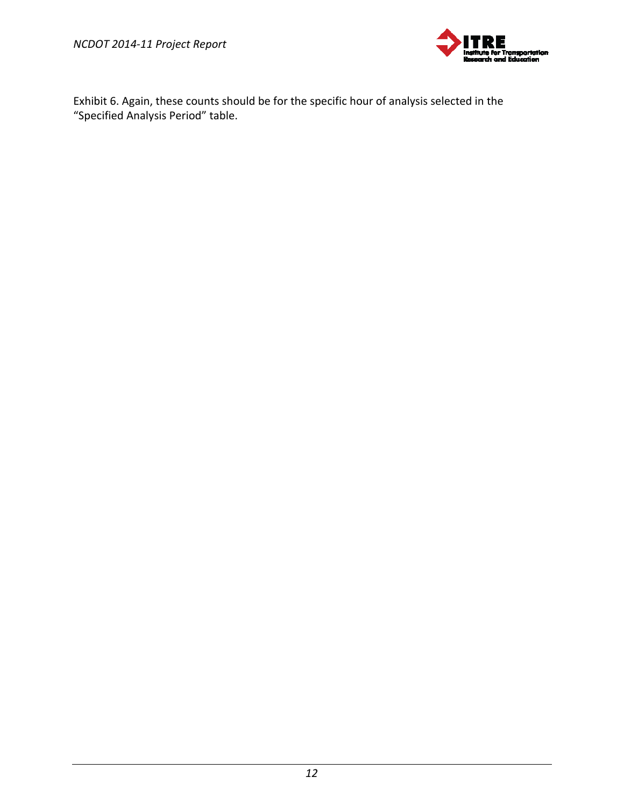

Exhibit 6. Again, these counts should be for the specific hour of analysis selected in the "Specified Analysis Period" table.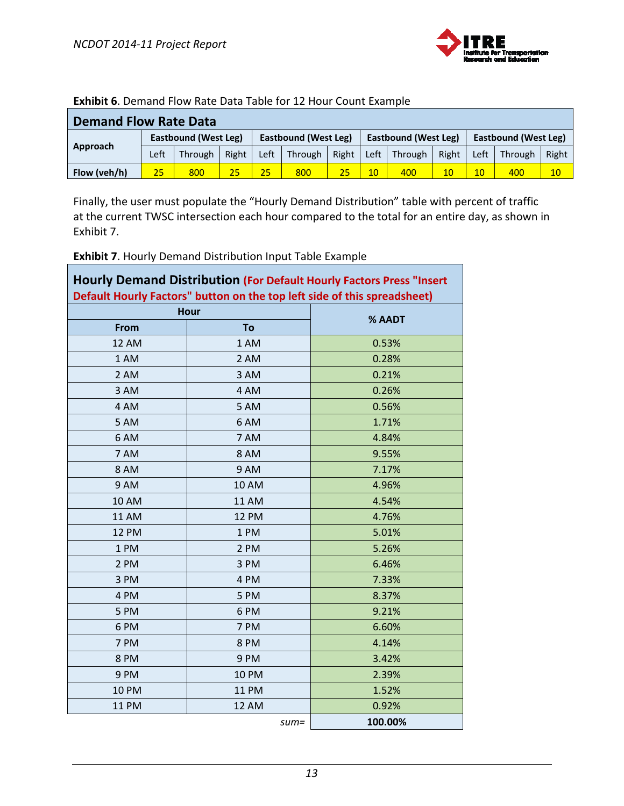

| EATHWIL VI D'CHRITOIT HON TRICC D'OCO TODIC TOT 15 HOOF COUTLEAGHTDIC |                      |                |       |                      |         |                      |      |                      |       |      |         |       |
|-----------------------------------------------------------------------|----------------------|----------------|-------|----------------------|---------|----------------------|------|----------------------|-------|------|---------|-------|
| <b>Demand Flow Rate Data</b>                                          |                      |                |       |                      |         |                      |      |                      |       |      |         |       |
|                                                                       | Eastbound (West Leg) |                |       | Eastbound (West Leg) |         | Eastbound (West Leg) |      | Eastbound (West Leg) |       |      |         |       |
| Approach                                                              | Left                 | <b>Through</b> | Right | Left                 | Through | Right                | Left | Through              | Right | Left | Through | Right |
| Flow (veh/h)                                                          | $25^{\circ}$         | 800            | 25    | 25                   | 800     |                      | 10   | 400                  | 10    | 10   | 400     | 10    |

#### **Exhibit 6**. Demand Flow Rate Data Table for 12 Hour Count Example

Finally, the user must populate the "Hourly Demand Distribution" table with percent of traffic at the current TWSC intersection each hour compared to the total for an entire day, as shown in Exhibit 7.

**Exhibit 7**. Hourly Demand Distribution Input Table Example

| <b>Hourly Demand Distribution (For Default Hourly Factors Press "Insert</b><br>Default Hourly Factors" button on the top left side of this spreadsheet) |              |         |  |  |
|---------------------------------------------------------------------------------------------------------------------------------------------------------|--------------|---------|--|--|
| <b>Hour</b>                                                                                                                                             |              |         |  |  |
| From                                                                                                                                                    | To           | % AADT  |  |  |
| <b>12 AM</b>                                                                                                                                            | 1 AM         | 0.53%   |  |  |
| 1 AM                                                                                                                                                    | 2 AM         | 0.28%   |  |  |
| 2 AM                                                                                                                                                    | 3 AM         | 0.21%   |  |  |
| 3 AM                                                                                                                                                    | 4 AM         | 0.26%   |  |  |
| 4 AM                                                                                                                                                    | 5 AM         | 0.56%   |  |  |
| 5 AM                                                                                                                                                    | 6 AM         | 1.71%   |  |  |
| 6 AM                                                                                                                                                    | 7 AM         | 4.84%   |  |  |
| 7 AM                                                                                                                                                    | 8 AM         | 9.55%   |  |  |
| 8 AM                                                                                                                                                    | 9 AM         | 7.17%   |  |  |
| 9 AM                                                                                                                                                    | <b>10 AM</b> | 4.96%   |  |  |
| <b>10 AM</b>                                                                                                                                            | <b>11 AM</b> | 4.54%   |  |  |
| <b>11 AM</b>                                                                                                                                            | <b>12 PM</b> | 4.76%   |  |  |
| <b>12 PM</b>                                                                                                                                            | 1 PM         | 5.01%   |  |  |
| 1PM                                                                                                                                                     | 2 PM         | 5.26%   |  |  |
| 2 PM                                                                                                                                                    | 3 PM         | 6.46%   |  |  |
| 3 PM                                                                                                                                                    | 4 PM         | 7.33%   |  |  |
| 4 PM                                                                                                                                                    | 5 PM         | 8.37%   |  |  |
| 5 PM                                                                                                                                                    | 6 PM         | 9.21%   |  |  |
| 6PM                                                                                                                                                     | 7 PM         | 6.60%   |  |  |
| 7 PM                                                                                                                                                    | 8 PM         | 4.14%   |  |  |
| 8PM                                                                                                                                                     | 9 PM         | 3.42%   |  |  |
| 9PM                                                                                                                                                     | <b>10 PM</b> | 2.39%   |  |  |
| <b>10 PM</b>                                                                                                                                            | <b>11 PM</b> | 1.52%   |  |  |
| <b>11 PM</b>                                                                                                                                            | <b>12 AM</b> | 0.92%   |  |  |
|                                                                                                                                                         | $sum =$      | 100.00% |  |  |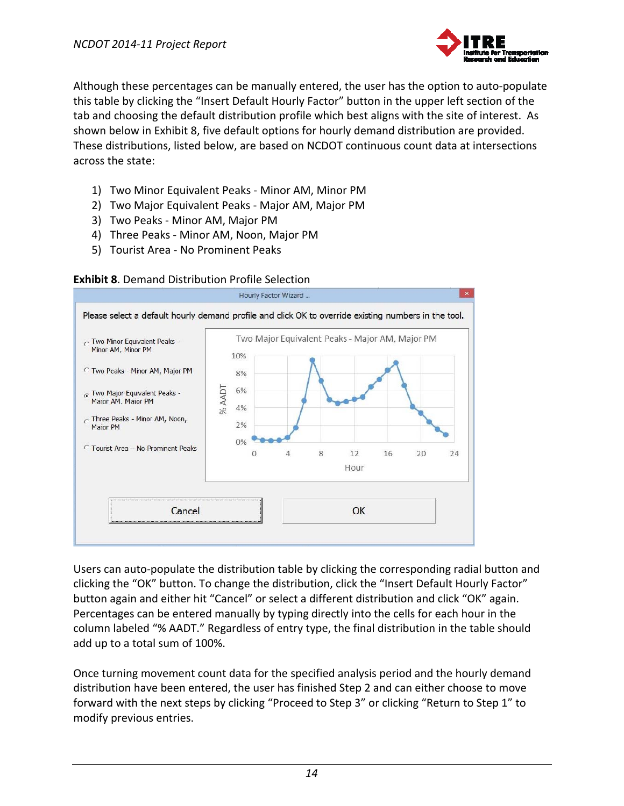

Although these percentages can be manually entered, the user has the option to auto‐populate this table by clicking the "Insert Default Hourly Factor" button in the upper left section of the tab and choosing the default distribution profile which best aligns with the site of interest. As shown below in Exhibit 8, five default options for hourly demand distribution are provided. These distributions, listed below, are based on NCDOT continuous count data at intersections across the state:

- 1) Two Minor Equivalent Peaks ‐ Minor AM, Minor PM
- 2) Two Major Equivalent Peaks ‐ Major AM, Major PM
- 3) Two Peaks ‐ Minor AM, Major PM
- 4) Three Peaks ‐ Minor AM, Noon, Major PM
- 5) Tourist Area ‐ No Prominent Peaks



#### **Exhibit 8**. Demand Distribution Profile Selection

Users can auto‐populate the distribution table by clicking the corresponding radial button and clicking the "OK" button. To change the distribution, click the "Insert Default Hourly Factor" button again and either hit "Cancel" or select a different distribution and click "OK" again. Percentages can be entered manually by typing directly into the cells for each hour in the column labeled "% AADT." Regardless of entry type, the final distribution in the table should add up to a total sum of 100%.

Once turning movement count data for the specified analysis period and the hourly demand distribution have been entered, the user has finished Step 2 and can either choose to move forward with the next steps by clicking "Proceed to Step 3" or clicking "Return to Step 1" to modify previous entries.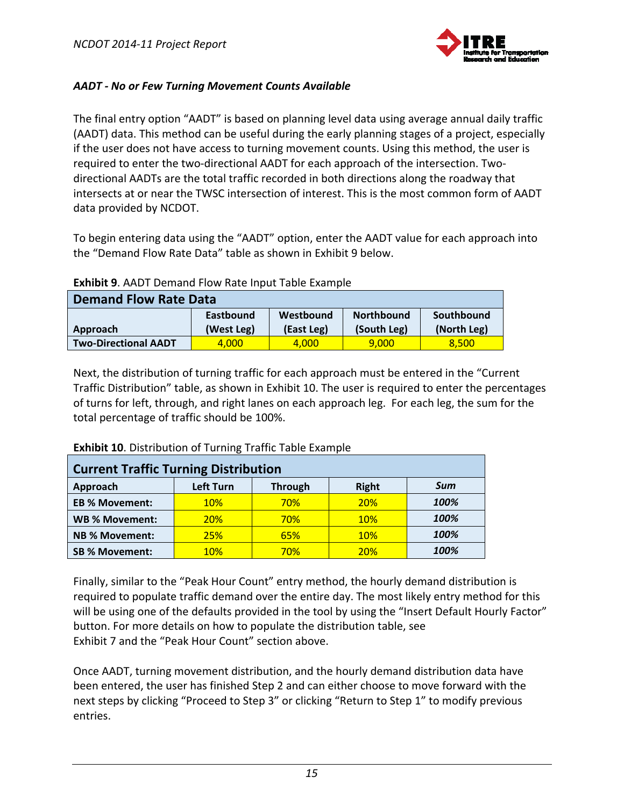

#### *AADT ‐ No or Few Turning Movement Counts Available*

The final entry option "AADT" is based on planning level data using average annual daily traffic (AADT) data. This method can be useful during the early planning stages of a project, especially if the user does not have access to turning movement counts. Using this method, the user is required to enter the two-directional AADT for each approach of the intersection. Twodirectional AADTs are the total traffic recorded in both directions along the roadway that intersects at or near the TWSC intersection of interest. This is the most common form of AADT data provided by NCDOT.

To begin entering data using the "AADT" option, enter the AADT value for each approach into the "Demand Flow Rate Data" table as shown in Exhibit 9 below.

| <b>Demand Flow Rate Data</b> |                         |                         |                                  |                           |  |  |
|------------------------------|-------------------------|-------------------------|----------------------------------|---------------------------|--|--|
| Approach                     | Eastbound<br>(West Leg) | Westbound<br>(East Leg) | <b>Northbound</b><br>(South Leg) | Southbound<br>(North Leg) |  |  |
|                              |                         |                         |                                  |                           |  |  |
| <b>Two-Directional AADT</b>  | 4.000                   | 4.000                   | 9,000                            | 8.500                     |  |  |

#### **Exhibit 9**. AADT Demand Flow Rate Input Table Example

Next, the distribution of turning traffic for each approach must be entered in the "Current Traffic Distribution" table, as shown in Exhibit 10. The user is required to enter the percentages of turns for left, through, and right lanes on each approach leg. For each leg, the sum for the total percentage of traffic should be 100%.

| <b>Current Traffic Turning Distribution</b> |                  |                |              |      |  |  |
|---------------------------------------------|------------------|----------------|--------------|------|--|--|
| Approach                                    | <b>Left Turn</b> | <b>Through</b> | <b>Right</b> | Sum  |  |  |
| <b>EB % Movement:</b>                       | <b>10%</b>       | <b>70%</b>     | <b>20%</b>   | 100% |  |  |
| <b>WB % Movement:</b>                       | <b>20%</b>       | <b>70%</b>     | <b>10%</b>   | 100% |  |  |
| <b>NB % Movement:</b>                       | <b>25%</b>       | 65%            | <b>10%</b>   | 100% |  |  |
| <b>SB % Movement:</b>                       | <b>10%</b>       | 70%            | <b>20%</b>   | 100% |  |  |

**Exhibit 10**. Distribution of Turning Traffic Table Example

Finally, similar to the "Peak Hour Count" entry method, the hourly demand distribution is required to populate traffic demand over the entire day. The most likely entry method for this will be using one of the defaults provided in the tool by using the "Insert Default Hourly Factor" button. For more details on how to populate the distribution table, see Exhibit 7 and the "Peak Hour Count" section above.

Once AADT, turning movement distribution, and the hourly demand distribution data have been entered, the user has finished Step 2 and can either choose to move forward with the next steps by clicking "Proceed to Step 3" or clicking "Return to Step 1" to modify previous entries.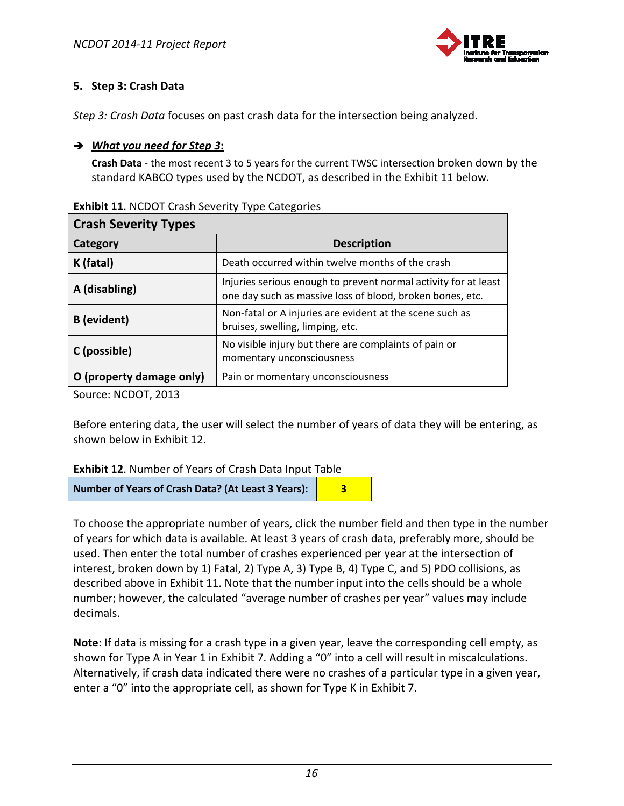

# **5. Step 3: Crash Data**

*Step 3: Crash Data* focuses on past crash data for the intersection being analyzed.

# *What you need for Step 3***:**

**Crash Data** ‐ the most recent 3 to 5 years for the current TWSC intersection broken down by the standard KABCO types used by the NCDOT, as described in the Exhibit 11 below.

| <b>Crash Severity Types</b> |                                                                                                                              |  |  |  |
|-----------------------------|------------------------------------------------------------------------------------------------------------------------------|--|--|--|
| Category                    | <b>Description</b>                                                                                                           |  |  |  |
| K (fatal)                   | Death occurred within twelve months of the crash                                                                             |  |  |  |
| A (disabling)               | Injuries serious enough to prevent normal activity for at least<br>one day such as massive loss of blood, broken bones, etc. |  |  |  |
| <b>B</b> (evident)          | Non-fatal or A injuries are evident at the scene such as<br>bruises, swelling, limping, etc.                                 |  |  |  |
| C (possible)                | No visible injury but there are complaints of pain or<br>momentary unconsciousness                                           |  |  |  |
| O (property damage only)    | Pain or momentary unconsciousness                                                                                            |  |  |  |

Source: NCDOT, 2013

Before entering data, the user will select the number of years of data they will be entering, as shown below in Exhibit 12.

| <b>Exhibit 12. Number of Years of Crash Data Input Table</b> |
|--------------------------------------------------------------|
|--------------------------------------------------------------|

**Number of Years of Crash Data? (At Least 3 Years): 3**

To choose the appropriate number of years, click the number field and then type in the number of years for which data is available. At least 3 years of crash data, preferably more, should be used. Then enter the total number of crashes experienced per year at the intersection of interest, broken down by 1) Fatal, 2) Type A, 3) Type B, 4) Type C, and 5) PDO collisions, as described above in Exhibit 11. Note that the number input into the cells should be a whole number; however, the calculated "average number of crashes per year" values may include decimals.

**Note**: If data is missing for a crash type in a given year, leave the corresponding cell empty, as shown for Type A in Year 1 in Exhibit 7. Adding a "0" into a cell will result in miscalculations. Alternatively, if crash data indicated there were no crashes of a particular type in a given year, enter a "0" into the appropriate cell, as shown for Type K in Exhibit 7.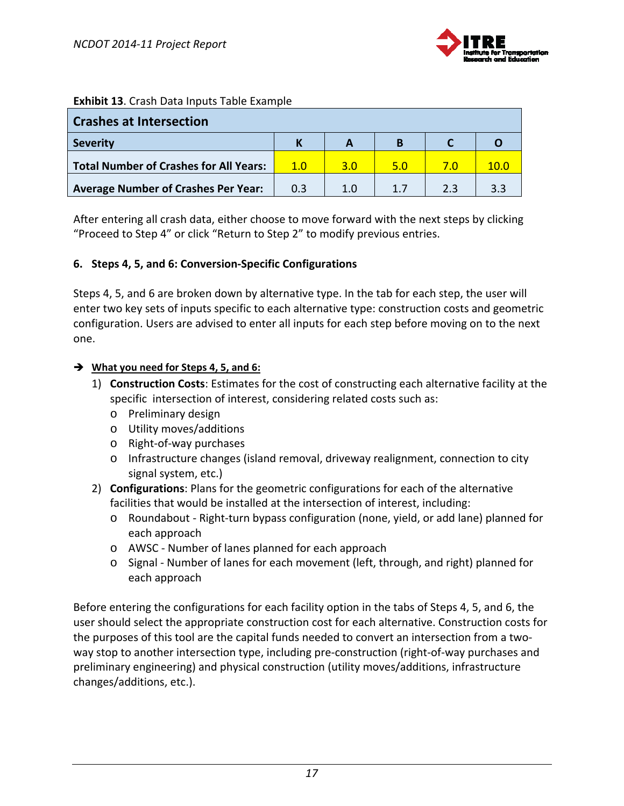

#### **Exhibit 13**. Crash Data Inputs Table Example

| <b>Crashes at Intersection</b>                |     |     |     |    |     |
|-----------------------------------------------|-----|-----|-----|----|-----|
| <b>Severity</b>                               |     |     | в   |    |     |
| <b>Total Number of Crashes for All Years:</b> | 1.0 | 3.O | 5.0 |    |     |
| <b>Average Number of Crashes Per Year:</b>    | 0.3 | 1.O |     | つっ | ∶ ? |

After entering all crash data, either choose to move forward with the next steps by clicking "Proceed to Step 4" or click "Return to Step 2" to modify previous entries.

#### **6. Steps 4, 5, and 6: Conversion‐Specific Configurations**

Steps 4, 5, and 6 are broken down by alternative type. In the tab for each step, the user will enter two key sets of inputs specific to each alternative type: construction costs and geometric configuration. Users are advised to enter all inputs for each step before moving on to the next one.

#### **What you need for Steps 4, 5, and 6:**

- 1) **Construction Costs**: Estimates for the cost of constructing each alternative facility at the specific intersection of interest, considering related costs such as:
	- o Preliminary design
	- o Utility moves/additions
	- o Right‐of‐way purchases
	- o Infrastructure changes (island removal, driveway realignment, connection to city signal system, etc.)
- 2) **Configurations**: Plans for the geometric configurations for each of the alternative facilities that would be installed at the intersection of interest, including:
	- o Roundabout ‐ Right‐turn bypass configuration (none, yield, or add lane) planned for each approach
	- o AWSC ‐ Number of lanes planned for each approach
	- o Signal ‐ Number of lanes for each movement (left, through, and right) planned for each approach

Before entering the configurations for each facility option in the tabs of Steps 4, 5, and 6, the user should select the appropriate construction cost for each alternative. Construction costs for the purposes of this tool are the capital funds needed to convert an intersection from a two‐ way stop to another intersection type, including pre‐construction (right‐of‐way purchases and preliminary engineering) and physical construction (utility moves/additions, infrastructure changes/additions, etc.).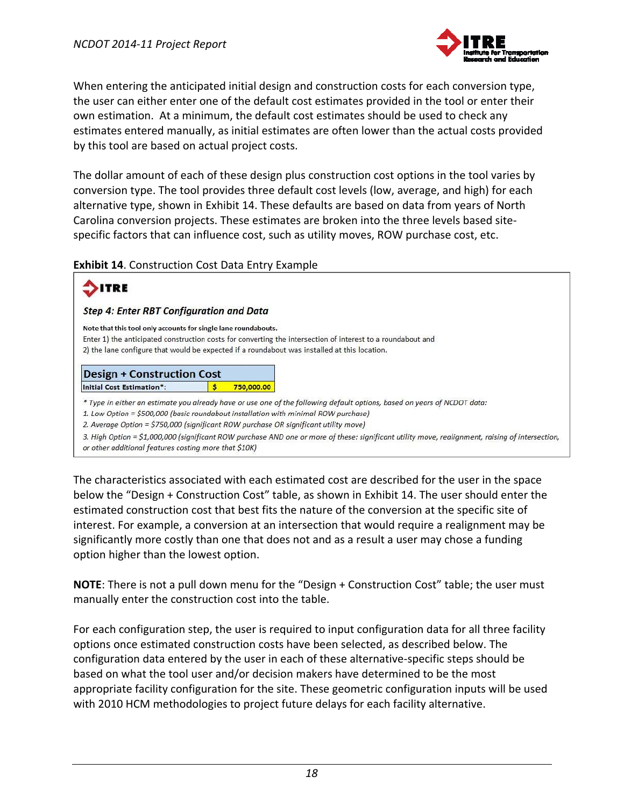

When entering the anticipated initial design and construction costs for each conversion type, the user can either enter one of the default cost estimates provided in the tool or enter their own estimation. At a minimum, the default cost estimates should be used to check any estimates entered manually, as initial estimates are often lower than the actual costs provided by this tool are based on actual project costs.

The dollar amount of each of these design plus construction cost options in the tool varies by conversion type. The tool provides three default cost levels (low, average, and high) for each alternative type, shown in Exhibit 14. These defaults are based on data from years of North Carolina conversion projects. These estimates are broken into the three levels based site‐ specific factors that can influence cost, such as utility moves, ROW purchase cost, etc.

**Exhibit 14**. Construction Cost Data Entry Example

| 'RE                                                                                                                                                                         |            |                                                                                                                                                                                                             |
|-----------------------------------------------------------------------------------------------------------------------------------------------------------------------------|------------|-------------------------------------------------------------------------------------------------------------------------------------------------------------------------------------------------------------|
| <b>Step 4: Enter RBT Configuration and Data</b>                                                                                                                             |            |                                                                                                                                                                                                             |
| Note that this tool only accounts for single lane roundabouts.                                                                                                              |            | Enter 1) the anticipated construction costs for converting the intersection of interest to a roundabout and<br>2) the lane configure that would be expected if a roundabout was installed at this location. |
| <b>Design + Construction Cost</b><br><b>Initial Cost Estimation*:</b>                                                                                                       | 750,000,00 |                                                                                                                                                                                                             |
| 1. Low Option = \$500,000 (basic roundabout installation with minimal ROW purchase)<br>2. Average Option = \$750,000 (significant ROW purchase OR significant utility move) |            | * Type in either an estimate you already have or use one of the following default options, based on years of NCDOT data:                                                                                    |

The characteristics associated with each estimated cost are described for the user in the space below the "Design + Construction Cost" table, as shown in Exhibit 14. The user should enter the estimated construction cost that best fits the nature of the conversion at the specific site of interest. For example, a conversion at an intersection that would require a realignment may be significantly more costly than one that does not and as a result a user may chose a funding option higher than the lowest option.

**NOTE**: There is not a pull down menu for the "Design + Construction Cost" table; the user must manually enter the construction cost into the table.

For each configuration step, the user is required to input configuration data for all three facility options once estimated construction costs have been selected, as described below. The configuration data entered by the user in each of these alternative‐specific steps should be based on what the tool user and/or decision makers have determined to be the most appropriate facility configuration for the site. These geometric configuration inputs will be used with 2010 HCM methodologies to project future delays for each facility alternative.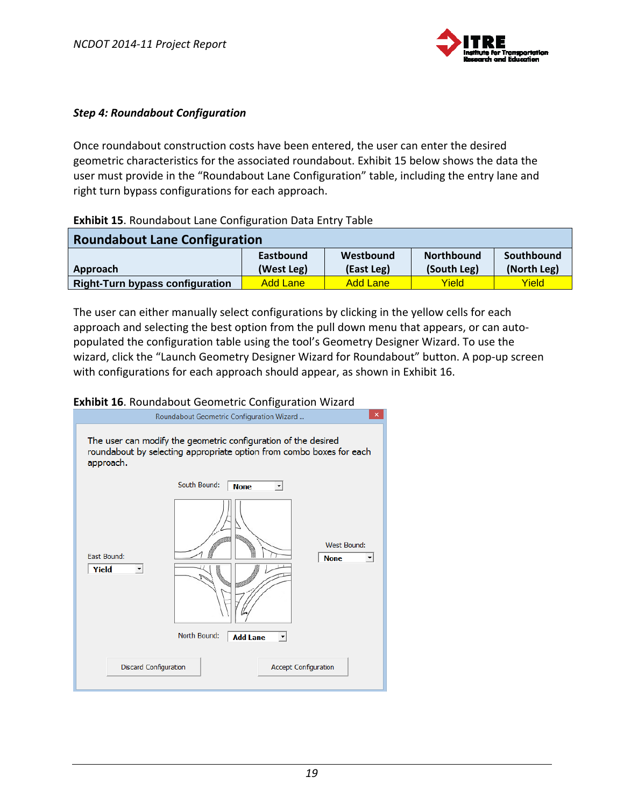

#### *Step 4: Roundabout Configuration*

Once roundabout construction costs have been entered, the user can enter the desired geometric characteristics for the associated roundabout. Exhibit 15 below shows the data the user must provide in the "Roundabout Lane Configuration" table, including the entry lane and right turn bypass configurations for each approach.

#### **Exhibit 15**. Roundabout Lane Configuration Data Entry Table

| <b>Roundabout Lane Configuration</b>   |                                |                         |                                  |                           |
|----------------------------------------|--------------------------------|-------------------------|----------------------------------|---------------------------|
| Approach                               | <b>Eastbound</b><br>(West Leg) | Westbound<br>(East Leg) | <b>Northbound</b><br>(South Leg) | Southbound<br>(North Leg) |
| <b>Right-Turn bypass configuration</b> | <b>Add Lane</b>                | <b>Add Lane</b>         | Yield                            | Yield                     |

The user can either manually select configurations by clicking in the yellow cells for each approach and selecting the best option from the pull down menu that appears, or can autopopulated the configuration table using the tool's Geometry Designer Wizard. To use the wizard, click the "Launch Geometry Designer Wizard for Roundabout" button. A pop‐up screen with configurations for each approach should appear, as shown in Exhibit 16.

#### **Exhibit 16**. Roundabout Geometric Configuration Wizard

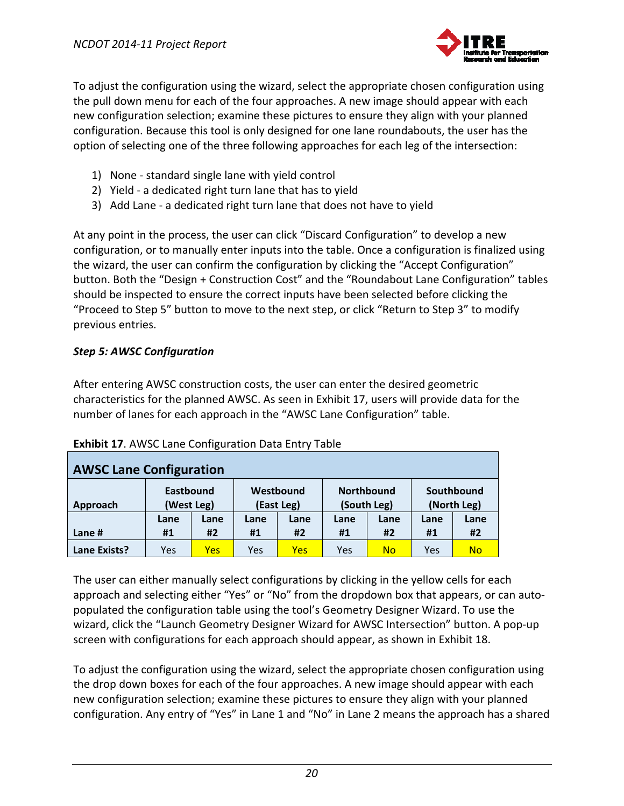

To adjust the configuration using the wizard, select the appropriate chosen configuration using the pull down menu for each of the four approaches. A new image should appear with each new configuration selection; examine these pictures to ensure they align with your planned configuration. Because this tool is only designed for one lane roundabouts, the user has the option of selecting one of the three following approaches for each leg of the intersection:

- 1) None ‐ standard single lane with yield control
- 2) Yield ‐ a dedicated right turn lane that has to yield
- 3) Add Lane ‐ a dedicated right turn lane that does not have to yield

At any point in the process, the user can click "Discard Configuration" to develop a new configuration, or to manually enter inputs into the table. Once a configuration is finalized using the wizard, the user can confirm the configuration by clicking the "Accept Configuration" button. Both the "Design + Construction Cost" and the "Roundabout Lane Configuration" tables should be inspected to ensure the correct inputs have been selected before clicking the "Proceed to Step 5" button to move to the next step, or click "Return to Step 3" to modify previous entries.

# *Step 5: AWSC Configuration*

After entering AWSC construction costs, the user can enter the desired geometric characteristics for the planned AWSC. As seen in Exhibit 17, users will provide data for the number of lanes for each approach in the "AWSC Lane Configuration" table.

| <b>AWSC Lane Configuration</b> |                                |      |                         |            |                                  |      |                           |           |
|--------------------------------|--------------------------------|------|-------------------------|------------|----------------------------------|------|---------------------------|-----------|
| Approach                       | <b>Eastbound</b><br>(West Leg) |      | Westbound<br>(East Leg) |            | <b>Northbound</b><br>(South Leg) |      | Southbound<br>(North Leg) |           |
|                                | Lane                           | Lane | Lane                    | Lane       | Lane                             | Lane | Lane                      | Lane      |
| Lane #                         | #1                             | #2   | #1                      | #2         | #1                               | #2   | #1                        | #2        |
| Lane Exists?                   | Yes                            | Yes  | Yes                     | <b>Yes</b> | Yes                              | No   | Yes                       | <b>No</b> |

# **Exhibit 17**. AWSC Lane Configuration Data Entry Table

The user can either manually select configurations by clicking in the yellow cells for each approach and selecting either "Yes" or "No" from the dropdown box that appears, or can autopopulated the configuration table using the tool's Geometry Designer Wizard. To use the wizard, click the "Launch Geometry Designer Wizard for AWSC Intersection" button. A pop-up screen with configurations for each approach should appear, as shown in Exhibit 18.

To adjust the configuration using the wizard, select the appropriate chosen configuration using the drop down boxes for each of the four approaches. A new image should appear with each new configuration selection; examine these pictures to ensure they align with your planned configuration. Any entry of "Yes" in Lane 1 and "No" in Lane 2 means the approach has a shared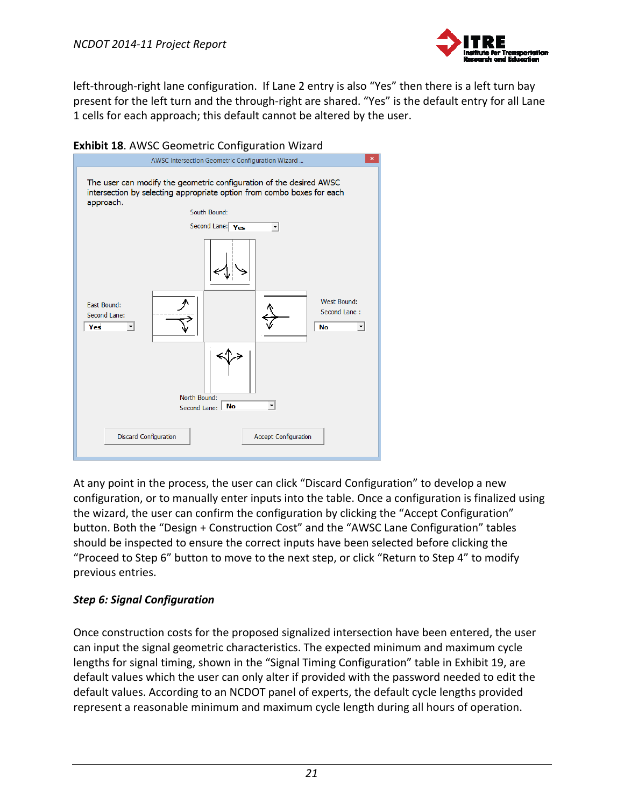

left-through-right lane configuration. If Lane 2 entry is also "Yes" then there is a left turn bay present for the left turn and the through-right are shared. "Yes" is the default entry for all Lane 1 cells for each approach; this default cannot be altered by the user.



At any point in the process, the user can click "Discard Configuration" to develop a new configuration, or to manually enter inputs into the table. Once a configuration is finalized using the wizard, the user can confirm the configuration by clicking the "Accept Configuration" button. Both the "Design + Construction Cost" and the "AWSC Lane Configuration" tables should be inspected to ensure the correct inputs have been selected before clicking the "Proceed to Step 6" button to move to the next step, or click "Return to Step 4" to modify previous entries.

# *Step 6: Signal Configuration*

Once construction costs for the proposed signalized intersection have been entered, the user can input the signal geometric characteristics. The expected minimum and maximum cycle lengths for signal timing, shown in the "Signal Timing Configuration" table in Exhibit 19, are default values which the user can only alter if provided with the password needed to edit the default values. According to an NCDOT panel of experts, the default cycle lengths provided represent a reasonable minimum and maximum cycle length during all hours of operation.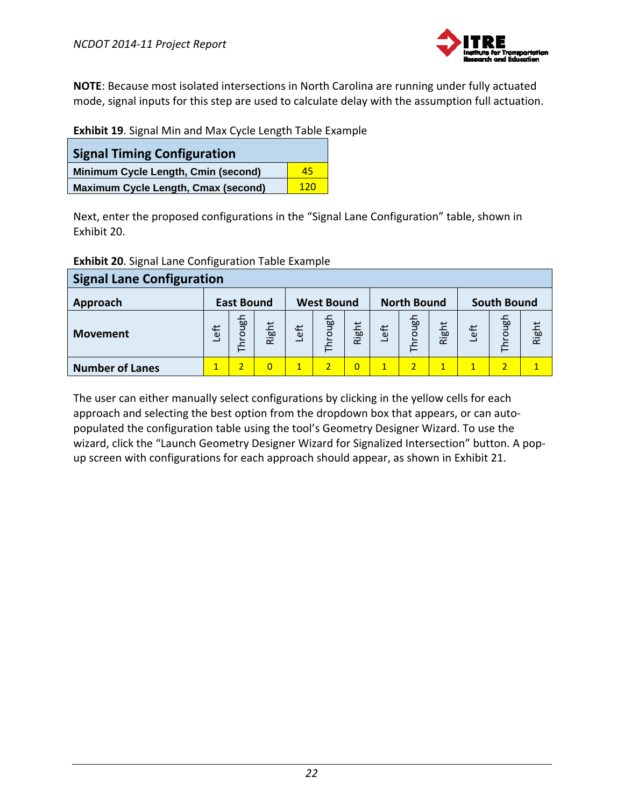

**NOTE**: Because most isolated intersections in North Carolina are running under fully actuated mode, signal inputs for this step are used to calculate delay with the assumption full actuation.

| <b>Signal Timing Configuration</b>         |     |
|--------------------------------------------|-----|
| Minimum Cycle Length, Cmin (second)        | 45  |
| <b>Maximum Cycle Length, Cmax (second)</b> | 120 |

Next, enter the proposed configurations in the "Signal Lane Configuration" table, shown in Exhibit 20.

|  |  |  | <b>Exhibit 20.</b> Signal Lane Configuration Table Example |  |  |
|--|--|--|------------------------------------------------------------|--|--|
|--|--|--|------------------------------------------------------------|--|--|

| <b>Signal Lane Configuration</b> |              |                   |                |              |                   |                |              |                        |              |              |                         |       |
|----------------------------------|--------------|-------------------|----------------|--------------|-------------------|----------------|--------------|------------------------|--------------|--------------|-------------------------|-------|
| Approach                         |              | <b>East Bound</b> |                |              | <b>West Bound</b> |                |              | <b>North Bound</b>     |              |              | <b>South Bound</b>      |       |
| <b>Movement</b>                  | Left         | Through           | Right          | Left         | Through           | Right          | Left         | $\frac{1}{2}$<br>Throu | Right        | Left         | $\overline{g}$<br>Throu | Right |
| <b>Number of Lanes</b>           | $\mathbf{1}$ |                   | $\overline{0}$ | $\mathbf{1}$ | 2.                | $\overline{0}$ | $\mathbf{1}$ |                        | $\mathbf{1}$ | $\mathbf{1}$ |                         |       |

The user can either manually select configurations by clicking in the yellow cells for each approach and selecting the best option from the dropdown box that appears, or can autopopulated the configuration table using the tool's Geometry Designer Wizard. To use the wizard, click the "Launch Geometry Designer Wizard for Signalized Intersection" button. A popup screen with configurations for each approach should appear, as shown in Exhibit 21.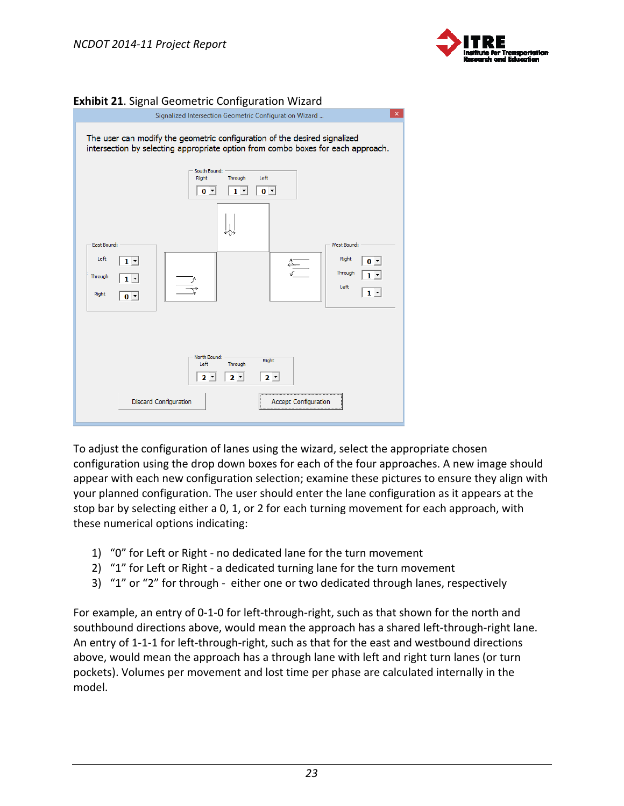



#### **Exhibit 21**. Signal Geometric Configuration Wizard

To adjust the configuration of lanes using the wizard, select the appropriate chosen configuration using the drop down boxes for each of the four approaches. A new image should appear with each new configuration selection; examine these pictures to ensure they align with your planned configuration. The user should enter the lane configuration as it appears at the stop bar by selecting either a 0, 1, or 2 for each turning movement for each approach, with these numerical options indicating:

- 1) "0" for Left or Right ‐ no dedicated lane for the turn movement
- 2) "1" for Left or Right a dedicated turning lane for the turn movement
- 3) "1" or "2" for through ‐ either one or two dedicated through lanes, respectively

For example, an entry of 0-1-0 for left-through-right, such as that shown for the north and southbound directions above, would mean the approach has a shared left-through-right lane. An entry of 1-1-1 for left-through-right, such as that for the east and westbound directions above, would mean the approach has a through lane with left and right turn lanes (or turn pockets). Volumes per movement and lost time per phase are calculated internally in the model.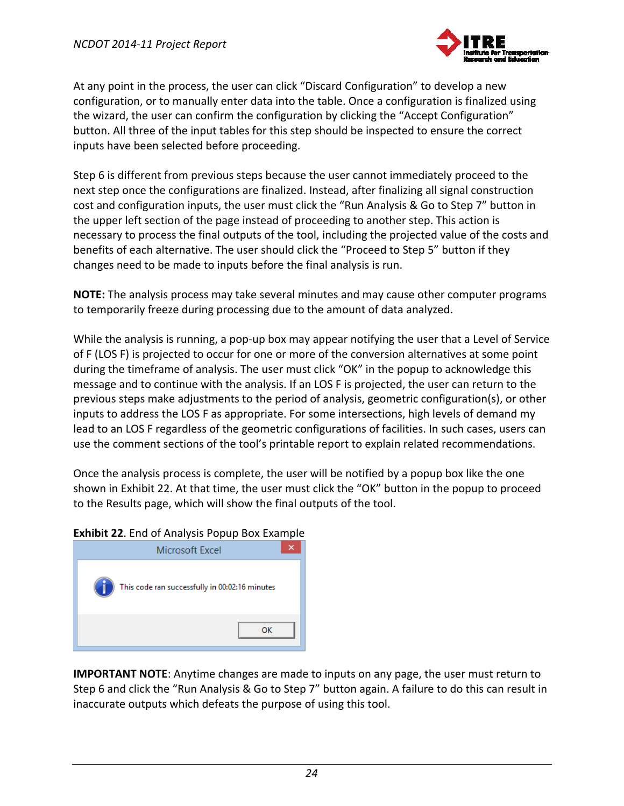

At any point in the process, the user can click "Discard Configuration" to develop a new configuration, or to manually enter data into the table. Once a configuration is finalized using the wizard, the user can confirm the configuration by clicking the "Accept Configuration" button. All three of the input tables for this step should be inspected to ensure the correct inputs have been selected before proceeding.

Step 6 is different from previous steps because the user cannot immediately proceed to the next step once the configurations are finalized. Instead, after finalizing all signal construction cost and configuration inputs, the user must click the "Run Analysis & Go to Step 7" button in the upper left section of the page instead of proceeding to another step. This action is necessary to process the final outputs of the tool, including the projected value of the costs and benefits of each alternative. The user should click the "Proceed to Step 5" button if they changes need to be made to inputs before the final analysis is run.

**NOTE:** The analysis process may take several minutes and may cause other computer programs to temporarily freeze during processing due to the amount of data analyzed.

While the analysis is running, a pop-up box may appear notifying the user that a Level of Service of F (LOS F) is projected to occur for one or more of the conversion alternatives at some point during the timeframe of analysis. The user must click "OK" in the popup to acknowledge this message and to continue with the analysis. If an LOS F is projected, the user can return to the previous steps make adjustments to the period of analysis, geometric configuration(s), or other inputs to address the LOS F as appropriate. For some intersections, high levels of demand my lead to an LOS F regardless of the geometric configurations of facilities. In such cases, users can use the comment sections of the tool's printable report to explain related recommendations.

Once the analysis process is complete, the user will be notified by a popup box like the one shown in Exhibit 22. At that time, the user must click the "OK" button in the popup to proceed to the Results page, which will show the final outputs of the tool.

#### **Exhibit 22**. End of Analysis Popup Box Example



**IMPORTANT NOTE**: Anytime changes are made to inputs on any page, the user must return to Step 6 and click the "Run Analysis & Go to Step 7" button again. A failure to do this can result in inaccurate outputs which defeats the purpose of using this tool.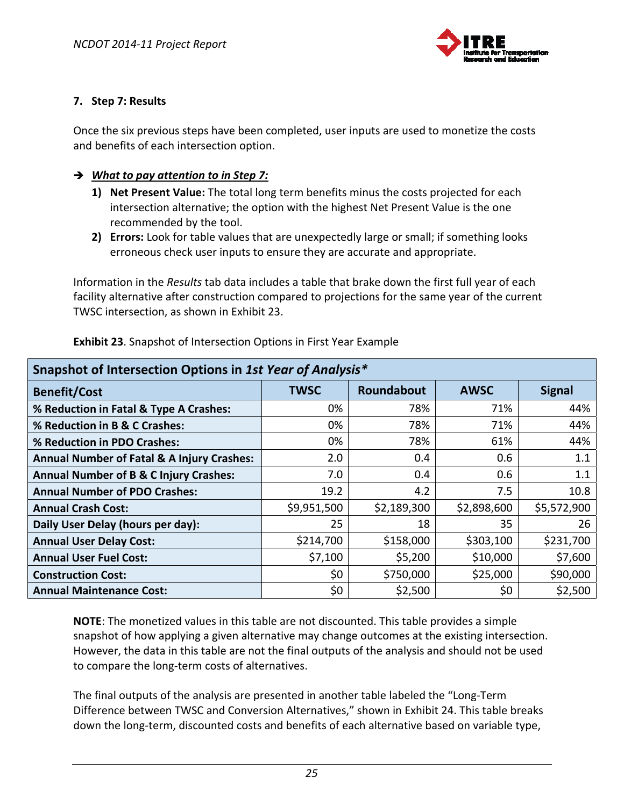

#### **7. Step 7: Results**

Once the six previous steps have been completed, user inputs are used to monetize the costs and benefits of each intersection option.

#### *What to pay attention to in Step 7:*

- **1) Net Present Value:** The total long term benefits minus the costs projected for each intersection alternative; the option with the highest Net Present Value is the one recommended by the tool.
- **2) Errors:** Look for table values that are unexpectedly large or small; if something looks erroneous check user inputs to ensure they are accurate and appropriate.

Information in the *Results* tab data includes a table that brake down the first full year of each facility alternative after construction compared to projections for the same year of the current TWSC intersection, as shown in Exhibit 23.

| Snapshot of Intersection Options in 1st Year of Analysis* |             |             |             |               |
|-----------------------------------------------------------|-------------|-------------|-------------|---------------|
| <b>Benefit/Cost</b>                                       | <b>TWSC</b> | Roundabout  | <b>AWSC</b> | <b>Signal</b> |
| % Reduction in Fatal & Type A Crashes:                    | 0%          | 78%         | 71%         | 44%           |
| % Reduction in B & C Crashes:                             | 0%          | 78%         | 71%         | 44%           |
| % Reduction in PDO Crashes:                               | 0%          | 78%         | 61%         | 44%           |
| <b>Annual Number of Fatal &amp; A Injury Crashes:</b>     | 2.0         | 0.4         | 0.6         | 1.1           |
| <b>Annual Number of B &amp; C Injury Crashes:</b>         | 7.0         | 0.4         | 0.6         | 1.1           |
| <b>Annual Number of PDO Crashes:</b>                      | 19.2        | 4.2         | 7.5         | 10.8          |
| <b>Annual Crash Cost:</b>                                 | \$9,951,500 | \$2,189,300 | \$2,898,600 | \$5,572,900   |
| Daily User Delay (hours per day):                         | 25          | 18          | 35          | 26            |
| <b>Annual User Delay Cost:</b>                            | \$214,700   | \$158,000   | \$303,100   | \$231,700     |
| <b>Annual User Fuel Cost:</b>                             | \$7,100     | \$5,200     | \$10,000    | \$7,600       |
| <b>Construction Cost:</b>                                 | \$0         | \$750,000   | \$25,000    | \$90,000      |
| <b>Annual Maintenance Cost:</b>                           | \$0         | \$2,500     | \$0         | \$2,500       |

**Exhibit 23**. Snapshot of Intersection Options in First Year Example

**NOTE**: The monetized values in this table are not discounted. This table provides a simple snapshot of how applying a given alternative may change outcomes at the existing intersection. However, the data in this table are not the final outputs of the analysis and should not be used to compare the long‐term costs of alternatives.

The final outputs of the analysis are presented in another table labeled the "Long‐Term Difference between TWSC and Conversion Alternatives," shown in Exhibit 24. This table breaks down the long‐term, discounted costs and benefits of each alternative based on variable type,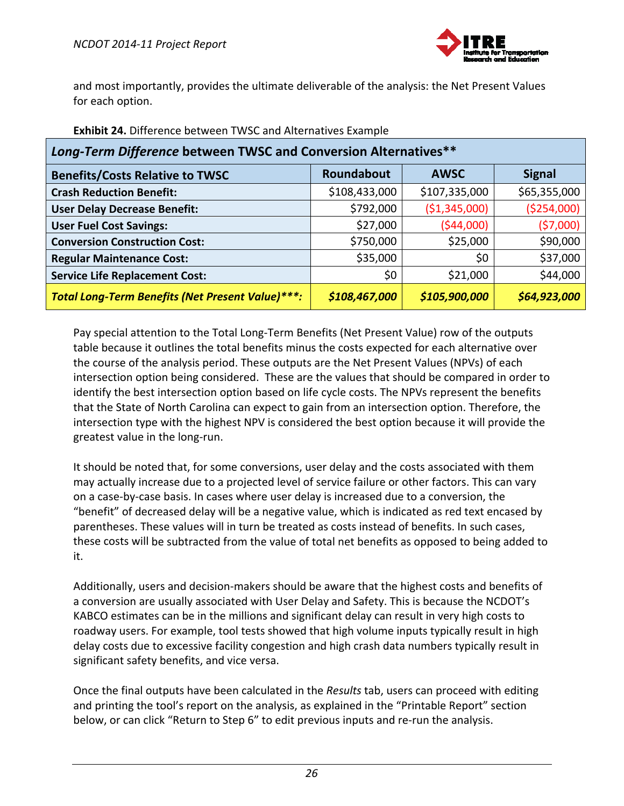

and most importantly, provides the ultimate deliverable of the analysis: the Net Present Values for each option.

| Long-Term Difference between TWSC and Conversion Alternatives** |               |                |               |
|-----------------------------------------------------------------|---------------|----------------|---------------|
| <b>Benefits/Costs Relative to TWSC</b>                          | Roundabout    | <b>AWSC</b>    | <b>Signal</b> |
| <b>Crash Reduction Benefit:</b>                                 | \$108,433,000 | \$107,335,000  | \$65,355,000  |
| <b>User Delay Decrease Benefit:</b>                             | \$792,000     | ( \$1,345,000) | ( \$254,000)  |
| <b>User Fuel Cost Savings:</b>                                  | \$27,000      | (544,000)      | (57,000)      |
| <b>Conversion Construction Cost:</b>                            | \$750,000     | \$25,000       | \$90,000      |
| <b>Regular Maintenance Cost:</b>                                | \$35,000      | \$0            | \$37,000      |
| <b>Service Life Replacement Cost:</b>                           | \$0           | \$21,000       | \$44,000      |
| Total Long-Term Benefits (Net Present Value)***:                | \$108,467,000 | \$105,900,000  | \$64,923,000  |

#### **Exhibit 24.** Difference between TWSC and Alternatives Example

Pay special attention to the Total Long‐Term Benefits (Net Present Value) row of the outputs table because it outlines the total benefits minus the costs expected for each alternative over the course of the analysis period. These outputs are the Net Present Values (NPVs) of each intersection option being considered. These are the values that should be compared in order to identify the best intersection option based on life cycle costs. The NPVs represent the benefits that the State of North Carolina can expect to gain from an intersection option. Therefore, the intersection type with the highest NPV is considered the best option because it will provide the greatest value in the long‐run.

It should be noted that, for some conversions, user delay and the costs associated with them may actually increase due to a projected level of service failure or other factors. This can vary on a case‐by‐case basis. In cases where user delay is increased due to a conversion, the "benefit" of decreased delay will be a negative value, which is indicated as red text encased by parentheses. These values will in turn be treated as costs instead of benefits. In such cases, these costs will be subtracted from the value of total net benefits as opposed to being added to it.

Additionally, users and decision‐makers should be aware that the highest costs and benefits of a conversion are usually associated with User Delay and Safety. This is because the NCDOT's KABCO estimates can be in the millions and significant delay can result in very high costs to roadway users. For example, tool tests showed that high volume inputs typically result in high delay costs due to excessive facility congestion and high crash data numbers typically result in significant safety benefits, and vice versa.

Once the final outputs have been calculated in the *Results* tab, users can proceed with editing and printing the tool's report on the analysis, as explained in the "Printable Report" section below, or can click "Return to Step 6" to edit previous inputs and re-run the analysis.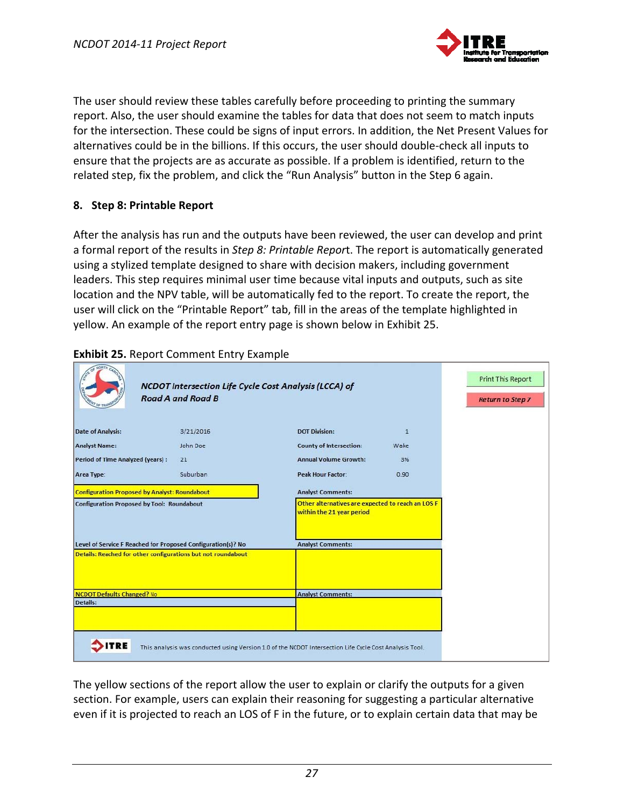

The user should review these tables carefully before proceeding to printing the summary report. Also, the user should examine the tables for data that does not seem to match inputs for the intersection. These could be signs of input errors. In addition, the Net Present Values for alternatives could be in the billions. If this occurs, the user should double‐check all inputs to ensure that the projects are as accurate as possible. If a problem is identified, return to the related step, fix the problem, and click the "Run Analysis" button in the Step 6 again.

#### **8. Step 8: Printable Report**

After the analysis has run and the outputs have been reviewed, the user can develop and print a formal report of the results in *Step 8: Printable Repor*t. The report is automatically generated using a stylized template designed to share with decision makers, including government leaders. This step requires minimal user time because vital inputs and outputs, such as site location and the NPV table, will be automatically fed to the report. To create the report, the user will click on the "Printable Report" tab, fill in the areas of the template highlighted in yellow. An example of the report entry page is shown below in Exhibit 25.

|                                         | NCDOT Intersection Life Cycle Cost Analysis (LCCA) of<br><b>Road A and Road B</b>                                            |                                                                                |              |
|-----------------------------------------|------------------------------------------------------------------------------------------------------------------------------|--------------------------------------------------------------------------------|--------------|
| <b>Date of Analysis:</b>                | 3/21/2016                                                                                                                    | <b>DOT Division:</b>                                                           | $\mathbf{1}$ |
| <b>Analyst Name:</b>                    | John Doe                                                                                                                     | <b>County of Intersection:</b>                                                 | Wake         |
| <b>Period of Time Analyzed (years):</b> | 21                                                                                                                           | <b>Annual Volume Growth:</b>                                                   | 3%           |
| Area Type:                              | Suburban                                                                                                                     | <b>Peak Hour Factor:</b>                                                       | 0.90         |
|                                         | <b>Configuration Proposed by Analyst: Roundabout</b>                                                                         | <b>Analyst Comments:</b>                                                       |              |
|                                         | <b>Configuration Proposed by Tool: Roundabout</b>                                                                            | Other alternatives are expected to reach an LOS F<br>within the 21 year period |              |
|                                         | Level of Service F Reached for Proposed Configuration(s)? No<br>Details: Reached for other configurations but not roundabout | <b>Analyst Comments:</b>                                                       |              |
| <b>NCDOT Defaults Changed? No</b>       |                                                                                                                              | <b>Analyst Comments:</b>                                                       |              |
| Details:                                |                                                                                                                              |                                                                                |              |
|                                         | This analysis was conducted using Version 1.0 of the NCDOT Intersection Life Cycle Cost Analysis Tool.                       |                                                                                |              |

### **Exhibit 25.** Report Comment Entry Example

The yellow sections of the report allow the user to explain or clarify the outputs for a given section. For example, users can explain their reasoning for suggesting a particular alternative even if it is projected to reach an LOS of F in the future, or to explain certain data that may be